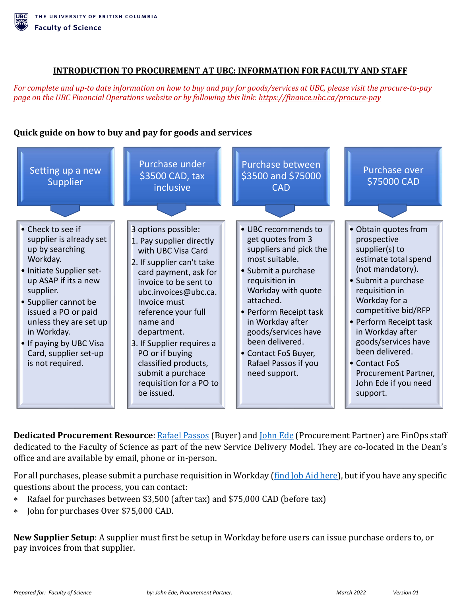## **INTRODUCTION TO PROCUREMENT AT UBC: INFORMATION FOR FACULTY AND STAFF**

*For complete and up-to date information on how to buy and pay for goods/services at UBC, please visit the procure-to-pay page on the UBC Financial Operations website or by following this link[: https://finance.ubc.ca/procure-pay](https://finance.ubc.ca/procure-pay)*

## **Quick guide on how to buy and pay for goods and services**



**Dedicated Procurement Resource**: **Rafael Passos** (Buyer) and **John Ede** (Procurement Partner) are FinOps staff dedicated to the Faculty of Science as part of the new Service Delivery Model. They are co-located in the Dean's office and are available by email, phone or in-person.

For all purchases, please submit a purchase requisition in Workday [\(find Job Aid here\)](https://ubc.service-now.com/selfservice?sys_kb_id=ee8946eb1b65c99027278556cc4bcbe8&id=kb_article_view&sysparm_rank=2&sysparm_tsqueryId=5597f3901b0a8110b2eda8ecbc4bcb2d), but if you have any specific questions about the process, you can contact:

- Rafael for purchases between \$3,500 (after tax) and \$75,000 CAD (before tax)
- \* John for purchases Over \$75,000 CAD.

**New Supplier Setup**: A supplier must first be setup in Workday before users can issue purchase orders to, or pay invoices from that supplier.